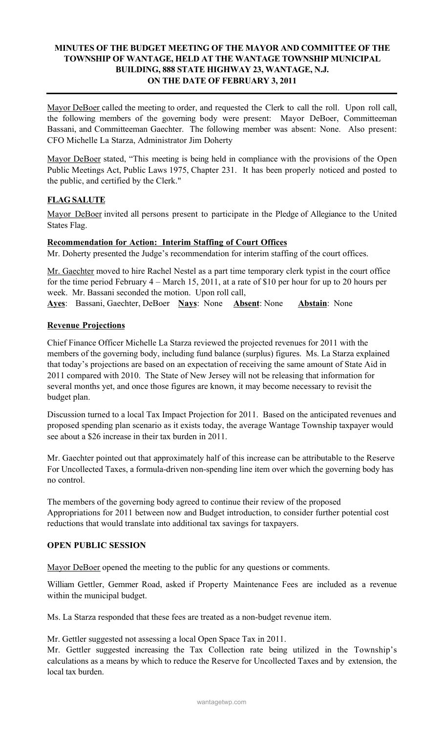## MINUTES OF THE BUDGET MEETING OF THE MAYOR AND COMMITTEE OF THE TOWNSHIP OF WANTAGE, HELD AT THE WANTAGE TOWNSHIP MUNICIPAL BUILDING, 888 STATE HIGHWAY 23, WANTAGE, N.J. ON THE DATE OF FEBRUARY 3, 2011

Mayor DeBoer called the meeting to order, and requested the Clerk to call the roll. Upon roll call, the following members of the governing body were present: Mayor DeBoer, Committeeman Bassani, and Committeeman Gaechter. The following member was absent: None. Also present: CFO Michelle La Starza, Administrator Jim Doherty

Mayor DeBoer stated, "This meeting is being held in compliance with the provisions of the Open Public Meetings Act, Public Laws 1975, Chapter 231. It has been properly noticed and posted to the public, and certified by the Clerk."

# FLAG SALUTE

Mayor DeBoer invited all persons present to participate in the Pledge of Allegiance to the United States Flag.

#### Recommendation for Action: Interim Staffing of Court Offices

Mr. Doherty presented the Judge's recommendation for interim staffing of the court offices.

Mr. Gaechter moved to hire Rachel Nestel as a part time temporary clerk typist in the court office for the time period February 4 – March 15, 2011, at a rate of \$10 per hour for up to 20 hours per week. Mr. Bassani seconded the motion. Upon roll call,

Ayes: Bassani, Gaechter, DeBoer Nays: None Absent: None Abstain: None

### Revenue Projections

Chief Finance Officer Michelle La Starza reviewed the projected revenues for 2011 with the members of the governing body, including fund balance (surplus) figures. Ms. La Starza explained that today's projections are based on an expectation of receiving the same amount of State Aid in 2011 compared with 2010. The State of New Jersey will not be releasing that information for several months yet, and once those figures are known, it may become necessary to revisit the budget plan.

Discussion turned to a local Tax Impact Projection for 2011. Based on the anticipated revenues and proposed spending plan scenario as it exists today, the average Wantage Township taxpayer would see about a \$26 increase in their tax burden in 2011.

Mr. Gaechter pointed out that approximately half of this increase can be attributable to the Reserve For Uncollected Taxes, a formula-driven non-spending line item over which the governing body has no control.

The members of the governing body agreed to continue their review of the proposed Appropriations for 2011 between now and Budget introduction, to consider further potential cost reductions that would translate into additional tax savings for taxpayers.

## OPEN PUBLIC SESSION

Mayor DeBoer opened the meeting to the public for any questions or comments.

William Gettler, Gemmer Road, asked if Property Maintenance Fees are included as a revenue within the municipal budget.

Ms. La Starza responded that these fees are treated as a non-budget revenue item.

Mr. Gettler suggested not assessing a local Open Space Tax in 2011.

Mr. Gettler suggested increasing the Tax Collection rate being utilized in the Township's calculations as a means by which to reduce the Reserve for Uncollected Taxes and by extension, the local tax burden.